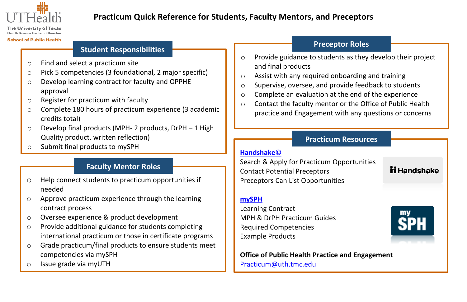

# **Practicum Quick Reference for Students, Faculty Mentors, and Preceptors**

**Health Rejance Center of Houston** 

#### **School of Public Health**

## **Student Responsibilities**

- o Find and select a practicum site
- o Pick 5 competencies (3 foundational, 2 major specific)
- o Develop learning contract for faculty and OPPHE approval
- o Register for practicum with faculty
- o Complete 180 hours of practicum experience (3 academic credits total)
- $\circ$  Develop final products (MPH- 2 products, DrPH 1 High Quality product, written reflection)
- <sup>o</sup> Submit final products to mySPH **[Handshake](https://uth.joinhandshake.com/)**©

# **Faculty Mentor Roles**

- $\circ$ Help connect students to practicum opportunities if needed
- o Approve practicum experience through the learning contract process
- o Oversee experience & product development
- o Provide additional guidance for students completing international practicum or those in certificate programs
- o Grade practicum/final products to ensure students meet competencies via mySPH
- o Issue grade via myUTH

# **Preceptor Roles**

- o Provide guidance to students as they develop their project and final products
- o Assist with any required onboarding and training
- o Supervise, oversee, and provide feedback to students
- o Complete an evaluation at the end of the experience
- o Contact the faculty mentor or the Office of Public Health practice and Engagement with any questions or concerns

## **Practicum Resources**

Search & Apply for Practicum Opportunities Contact Potential Preceptors Preceptors Can List Opportunities

#### **[mySPH](https://uthealthsph.force.com/UTHealthCommunity/s/)**

Learning Contract MPH & DrPH Practicum Guides Required Competencies Example Products

**Office of Public Health Practice and Engageme[nt](https://uthealthsph.force.com/UTHealthCommunity/s/)** [Practicum@uth.tmc.edu](mailto:Practicum@uth.tmc.edu)



**ii** Handshake